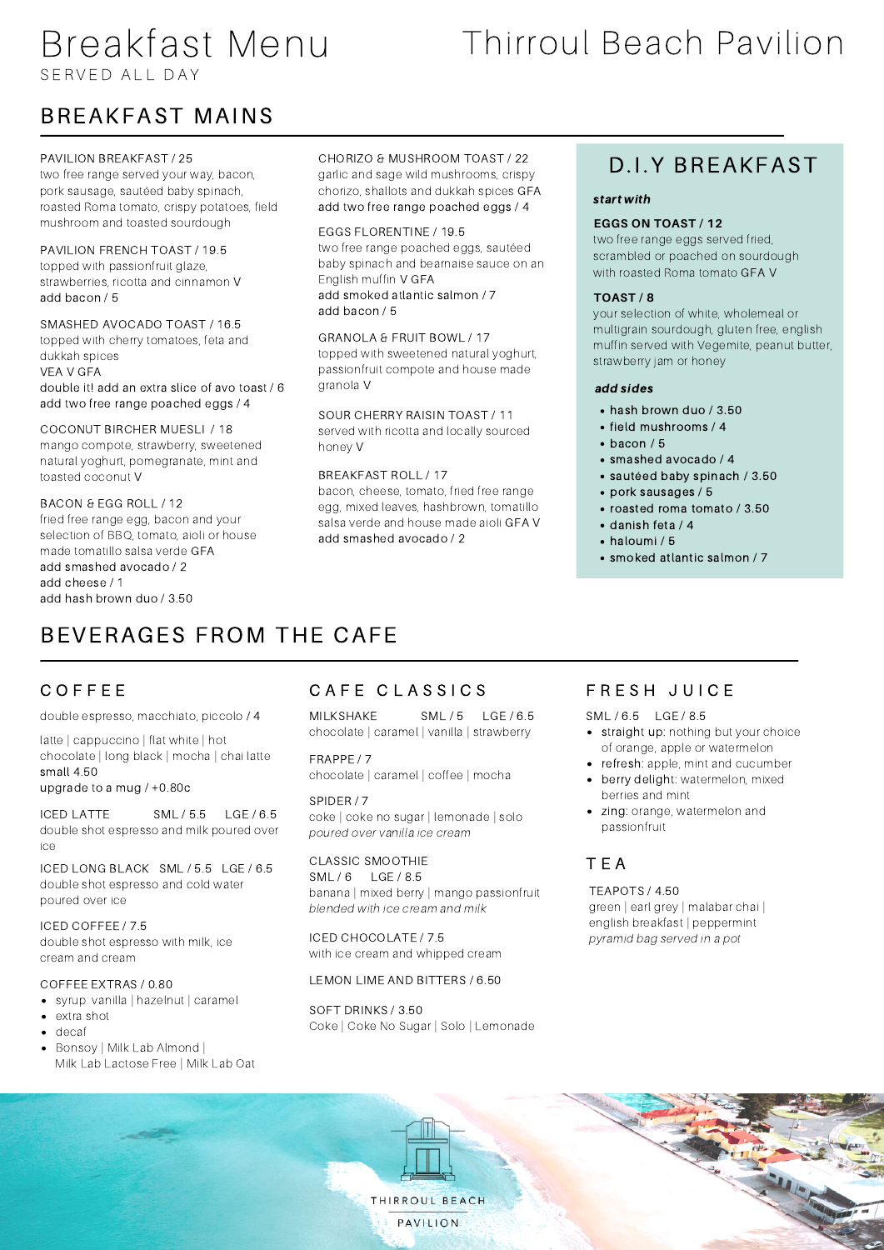## Breakfast Menu S F R V E D A LL DA Y

# Thirroul Beach Pavilion

## BREAKFAST MAINS

#### PAVILION BREAKFAST / 25

two free range served your way, bacon, pork sausage, sautéed baby spinach, roasted Roma tomato, crispy potatoes, field mushroom and toasted sourdough

#### PAVILION FRENCH TOAST / 19.5

topped with passionfruit glaze, strawberries, ricotta and cinnamon V add bacon / 5

#### SMASHED AVOCADO TOAST / 16.5

topped with cherry tomatoes, feta and dukkah spices VEA V GFA double it! add an extra slice of avo toast / 6 add two free range poached eggs / 4

#### COCONUT BIRCHER MUESLI / 18

mango compote, strawberry, sweetened natural yoghurt, pomegranate, mint and toasted coconut V

#### BACON & EGG ROLL / 12

fried free range egg, bacon and your selection of BBQ, tomato, aioli or house made tomatillo salsa verde GFA add smashed avocado / 2 add cheese / 1 add hash brown duo / 3.50

#### CHORIZO & MUSHROOM TOAST / 22

garlic and sage wild mushrooms, crispy chorizo, shallots and dukkah spices GFA add two free range poached eggs / 4

#### EGGS FLORENTINE / 19.5

two free range poached eggs, sautéed baby spinach and bearnaise sauce on an English muffin V GFA add smoked atlantic salmon / 7

add bacon / 5

#### GRANOLA & FRUIT BOWL / 17 topped with sweetened natural yoghurt, passionfruit compote and house made granola V

SOUR CHERRY RAISIN TOAST / 11 served with ricotta and locally sourced honey V

#### BREAKFAST ROLL / 17

bacon, cheese, tomato, fried free range egg, mixed leaves, hashbrown, tomatillo salsa verde and house made aioli GFA V add smashed avocado / 2

### D.I.Y BREAKFAST

#### start with

#### **EGGS ON TOAST /12**

two free range eggs served fried, scrambled or poached on sourdough with roasted Roma tomato GFA V

#### **TOAST / 8**

your selection of white, wholemeal or multigrain sourdough, gluten free, english muffin served with Vegemite, peanut butter, strawberry jam or honey

#### add sides

- hash brown duo / 3.50
- field mushrooms / 4
- $\cdot$  bacon / 5
- smashed avocado / 4
- sautéed baby spinach / 3.50
- pork sausages / 5
- roasted roma tomato / 3.50
- danish feta /4
- haloumi / 5
- smoked atlantic salmon / 7

## BEVERAGES FROM THE CAFE

#### C O F F E E

double espresso, macchiato, piccolo / 4

latte | cappuccino | flat white | hot chocolate | long black | mocha | chai latte small 4.50

#### upgrade to a mug / +0.80c

ICED LATTE SML / 5.5 LGE / 6.5 double shot espresso and milk poured over ice

ICED LONG BLACK SML / 5.5 LGE / 6.5 double shot espresso and cold water poured over ice

#### ICED COFFEE / 7.5

double shot espresso with milk, ice cream and cream

#### COFFEE EXTRAS / 0.80

- syrup: vanilla | hazelnut | caramel
- extra shot
- decaf
- Bonsoy | Milk Lab Almond | Milk Lab Lactose Free | Milk Lab Oat

#### CAFE CLASSICS

MILKSHAKE SML / 5 LGE / 6.5 SML / 6.5 LGE / 8.5 chocolate | caramel | vanilla | strawberry

FRAPPE / 7 chocolate | caramel | coffee | mocha

#### SPIDER / 7 coke | coke no sugar | lemonade | solo

poured over vanilla ice cream

#### CLASSIC SMOOTHIE

SML / 6 LGE / 8.5 banana | mixed berry | mango passionfruit blended with ice cream and milk

ICED CHOCOLATE / 7.5 with ice cream and whipped cream

#### LEMON LIME AND BITTERS / 6.50

SOFT DRINKS / 3.50 Coke | Coke No Sugar | Solo | Lemonade

#### FRESH JUICE

- straight up: nothing but your choice of orange, apple or watermelon
- refresh: apple, mint and cucumber
- berry delight: watermelon, mixed berries and mint
- zing: orange, watermelon and passionfruit

#### T E A

#### TEAPOTS / 4.50

green | earl grey | malabar chai | english breakfast | peppermint pyramid bag served in a pot

THIRROUL BEACH

PAVILION